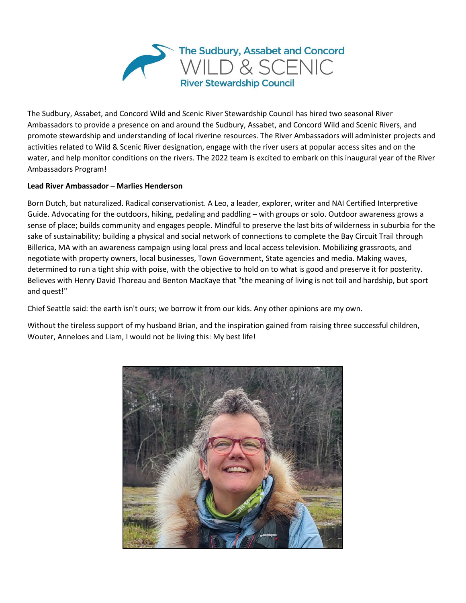

The Sudbury, Assabet, and Concord Wild and Scenic River Stewardship Council has hired two seasonal River Ambassadors to provide a presence on and around the Sudbury, Assabet, and Concord Wild and Scenic Rivers, and promote stewardship and understanding of local riverine resources. The River Ambassadors will administer projects and activities related to Wild & Scenic River designation, engage with the river users at popular access sites and on the water, and help monitor conditions on the rivers. The 2022 team is excited to embark on this inaugural year of the River Ambassadors Program!

## **Lead River Ambassador – Marlies Henderson**

Born Dutch, but naturalized. Radical conservationist. A Leo, a leader, explorer, writer and NAI Certified Interpretive Guide. Advocating for the outdoors, hiking, pedaling and paddling – with groups or solo. Outdoor awareness grows a sense of place; builds community and engages people. Mindful to preserve the last bits of wilderness in suburbia for the sake of sustainability; building a physical and social network of connections to complete the Bay Circuit Trail through Billerica, MA with an awareness campaign using local press and local access television. Mobilizing grassroots, and negotiate with property owners, local businesses, Town Government, State agencies and media. Making waves, determined to run a tight ship with poise, with the objective to hold on to what is good and preserve it for posterity. Believes with Henry David Thoreau and Benton MacKaye that "the meaning of living is not toil and hardship, but sport and quest!"

Chief Seattle said: the earth isn't ours; we borrow it from our kids. Any other opinions are my own.

Without the tireless support of my husband Brian, and the inspiration gained from raising three successful children, Wouter, Anneloes and Liam, I would not be living this: My best life!